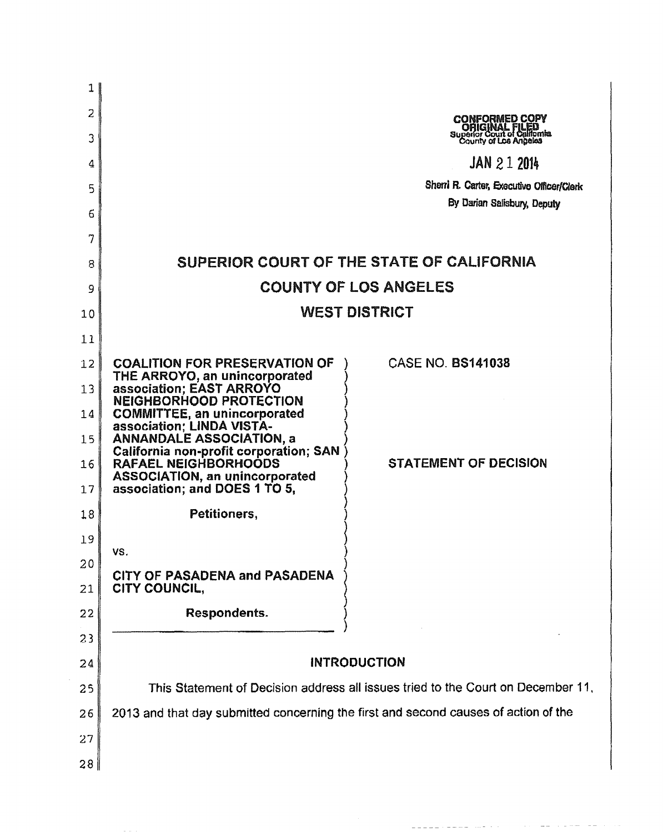| 1  |                                                                                     |                                                                                                         |
|----|-------------------------------------------------------------------------------------|---------------------------------------------------------------------------------------------------------|
| 2  |                                                                                     | <b>CONFORMED COPY</b><br><b>ORIGINAL FILED</b><br>Superior Court of California<br>County of Los Angeles |
| 3  |                                                                                     |                                                                                                         |
| 4  |                                                                                     | <b>JAN 2 1 2014</b>                                                                                     |
| 5  |                                                                                     | Sherri R. Carter, Executive Officer/Clerk<br>By Darian Salisbury, Deputy                                |
| 6  |                                                                                     |                                                                                                         |
| 7  |                                                                                     |                                                                                                         |
| 8  |                                                                                     | SUPERIOR COURT OF THE STATE OF CALIFORNIA                                                               |
| 9  |                                                                                     | <b>COUNTY OF LOS ANGELES</b>                                                                            |
| 10 |                                                                                     | <b>WEST DISTRICT</b>                                                                                    |
| 11 |                                                                                     |                                                                                                         |
| 12 | <b>COALITION FOR PRESERVATION OF</b>                                                | <b>CASE NO. BS141038</b>                                                                                |
| 13 | THE ARROYO, an unincorporated<br>association; EAST ARROYO                           |                                                                                                         |
| 14 | <b>NEIGHBORHOOD PROTECTION</b><br><b>COMMITTEE, an unincorporated</b>               |                                                                                                         |
| 15 | association; LINDA VISTA-<br><b>ANNANDALE ASSOCIATION, a</b>                        |                                                                                                         |
| 16 | California non-profit corporation; SAN<br>RAFAEL NEIGHBORHOODS                      | <b>STATEMENT OF DECISION</b>                                                                            |
| 17 | <b>ASSOCIATION, an unincorporated</b><br>association; and DOES 1 TO 5,              |                                                                                                         |
| 18 | Petitioners,                                                                        |                                                                                                         |
| 19 |                                                                                     |                                                                                                         |
| 20 | VS.                                                                                 |                                                                                                         |
| 21 | <b>CITY OF PASADENA and PASADENA</b><br>CITY COUNCIL,                               |                                                                                                         |
| 22 | Respondents.                                                                        |                                                                                                         |
| 23 |                                                                                     |                                                                                                         |
| 24 |                                                                                     | <b>INTRODUCTION</b>                                                                                     |
| 25 |                                                                                     | This Statement of Decision address all issues tried to the Court on December 11,                        |
| 26 | 2013 and that day submitted concerning the first and second causes of action of the |                                                                                                         |
| 27 |                                                                                     |                                                                                                         |
| 28 |                                                                                     |                                                                                                         |
|    |                                                                                     |                                                                                                         |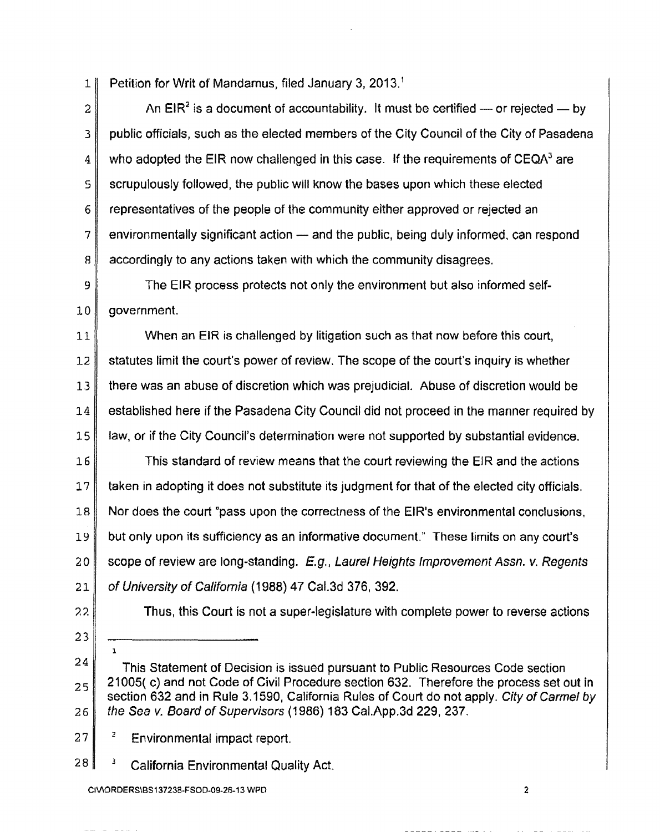1 Petition for Writ of Mandamus, filed January 3, 2013.<sup>1</sup>

2 An EIR<sup>2</sup> is a document of accountability. It must be certified — or rejected — by 3 public officials, such as the elected members of the City Council of the City of Pasadena  $4 \parallel$  who adopted the EIR now challenged in this case. If the requirements of CEQA<sup>3</sup> are 5 scrupulously followed, the public will know the bases upon which these elected 6 representatives of the people of the community either approved or rejected an  $7$  environmentally significant action  $-$  and the public, being duly informed, can respond 8 accordingly to any actions taken with which the community disagrees.

9 The EIR process protects not only the environment but also informed self-10 government.

11 When an EIR is challenged by litigation such as that now before this court, 12 statutes limit the court's power of review. The scope of the court's inquiry is whether 13 there was an abuse of discretion which was prejudicial. Abuse of discretion would be 14 established here if the Pasadena City Council did not proceed in the manner required by 15 law, or if the City Council's determination were not supported by substantial evidence.

16 This standard of review means that the court reviewing the EIR and the actions 17 taken in adopting it does not substitute its judgment for that of the elected city officials.  $18$  Nor does the court "pass upon the correctness of the EIR's environmental conclusions, 19 but only upon its sufficiency as an informative document." These limits on any court's 20 scope of review are long-standing. E.g., Laurel Heights Improvement Assn. v. Regents 21 | of University of California (1988) 47 Cal.3d 376, 392.

- ?? Thus, this Court is not a super-legislature with complete power to reverse actions
- 23

1

27  $2$  Environmental impact report.

 $28$   $\frac{1}{2}$  California Environmental Quality Act.

<sup>24</sup>  25 26 This Statement of Decision is issued pursuant to Public Resources Code section 21005( c) and not Code of Civil Procedure section 632. Therefore the process set out in section 632 and in Rule 3.1590, California Rules of Court do not apply. City of Carmel by the Sea v. Board of Supervisors (1986) 183 Cal.App.3d 229, 237.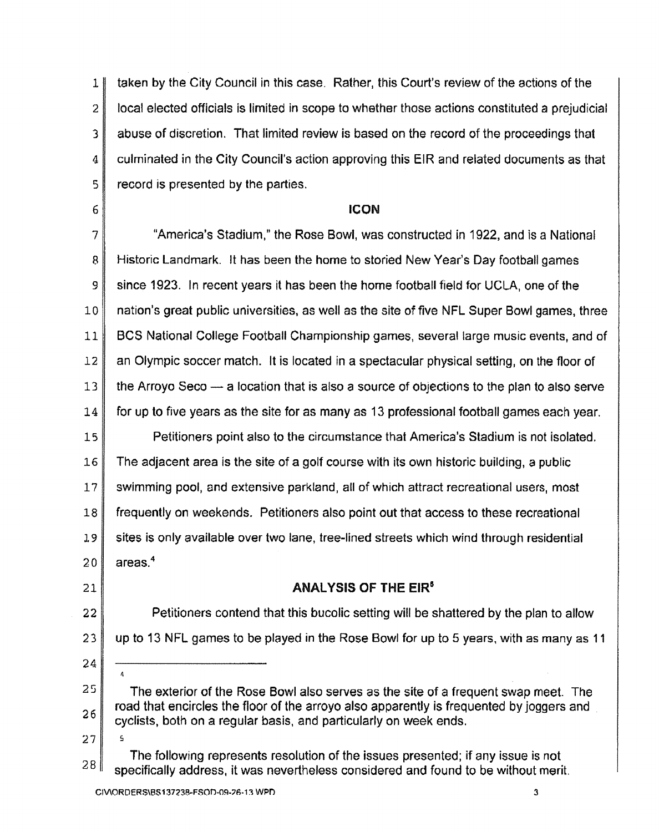1 taken by the City Council in this case. Rather, this Court's review of the actions of the 2 | local elected officials is limited in scope to whether those actions constituted a prejudicial 3 abuse of discretion. That limited review is based on the record of the proceedings that 4 culminated in the City Council's action approving this EIR and related documents as that  $5$  record is presented by the parties.

# 6  $\parallel$  icon

 $7$  "America's Stadium," the Rose Bowl, was constructed in 1922, and is a National 8 Historic Landmark. It has been the home to storied New Year's Day football games 9 since 1923. In recent years it has been the home football field for UCLA, one of the 10 nation's great public universities, as well as the site of five NFL Super Bowl games, three 11 BCS National College Football Championship games, several large music events, and of 12 an Olympic soccer match. It is located in a spectacular physical setting, on the floor of 13 the Arroyo Seco  $-$  a location that is also a source of objections to the plan to also serve 14 for up to five years as the site for as many as 13 professional football games each year. 15 Petitioners point also to the circumstance that America's Stadium is not isolated. 16 The adjacent area is the site of a golf course with its own historic building, a public 17 swimming pool, and extensive parkland, all of which attract recreational users, most 18 frequently on weekends. Petitioners also point out that access to these recreational 1.9 sites is only available over two lane, tree-lined streets which wind through residential  $20$  areas.<sup>4</sup>  $21$  ANALYSIS OF THE EIR<sup>5</sup>

22 **Petitioners contend that this bucolic setting will be shattered by the plan to allow** 23 up to 13 NFL games to be played in the Rose Bowl for up to 5 years, with as many as 11

- 24
- 2S 26 The exterior of the Rose Bowl also serves as the site of a frequent swap meet. The road that encircles the floor of the arroyo also apparently is frequented by joggers and cyclists, both on a regular basis, and particularly on week ends.
- 27

s

 $\Lambda$ 

28 The following represents resolution of the issues presented; if any issue is not specifically address, it was nevertheless considered and found to be without merit.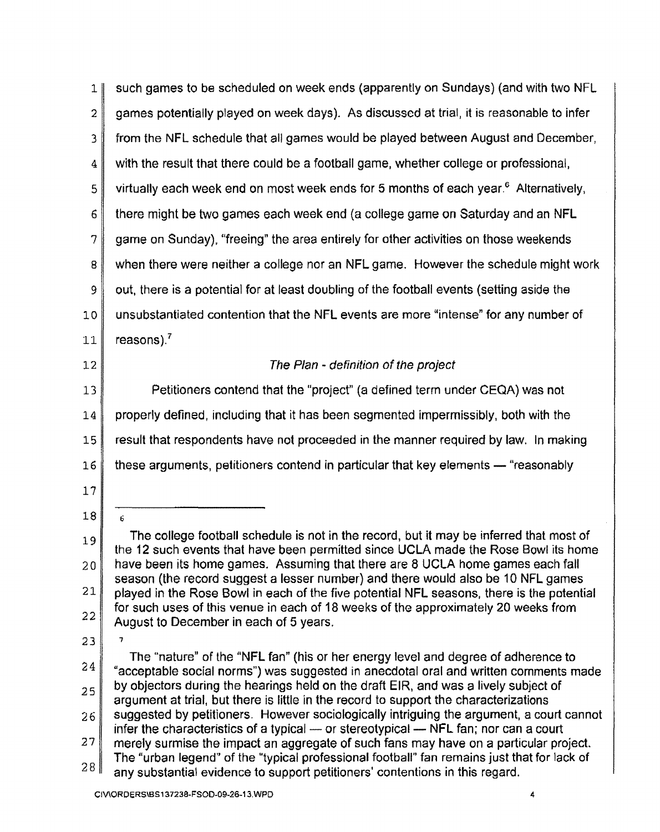1 such games to be scheduled on week ends (apparently on Sundays) (and with two NFL  $2 \parallel$  games potentially played on week days). As discussed at trial, it is reasonable to infer 3 from the NFL schedule that all games would be played between August and December, 4 with the result that there could be a football game, whether college or professional.  $5$  virtually each week end on most week ends for 5 months of each year.<sup>6</sup> Alternatively, 6 there might be two games each week end (a college game on Saturday and an NFL  $7$  game on Sunday), "freeing" the area entirely for other activities on those weekends 8 when there were neither a college nor an NFL game. However the schedule might work 9 out, there is a potential for at least doubling of the football events (setting aside the 10 unsubstantiated contention that the NFL events are more "intense" for any number of  $11$  reasons).<sup>7</sup> 12 The Plan - definition of the project 13 Petitioners contend that the "project" (a defined term under CEQA) was not 14 properly defined, including that it has been segmented impermissibly, both with the 15 result that respondents have not proceeded in the manner required by law. In making  $16$  these arguments, petitioners contend in particular that key elements  $-$  "reasonably" 17 18 19 20 21 22 23 24 25 26 27 28 6 The college football schedule is not in the record, but it may be inferred that most of the 12 such events that have been permitted since UCLA made the Rose Bowl its home have been its home games. Assuming that there are 8 UCLA home games each fall season (the record suggest a lesser number) and there would also be 10 NFL games played in the Rose Bowl in each of the five potential NFL seasons, there is the potential for such uses of this venue in each of 18 weeks of the approximately 20 weeks from August to December in each of 5 years. The "nature" of the "NFL fan" (his or her energy level and degree of adherence to "acceptable social norms") was suggested in anecdotal oral and written comments made by objectors during the hearings held on the draft EIR, and was a lively subject of argument at trial, but there is little in the record to support the characterizations suggested by petitioners. However sociologically intriguing the argument, a court cannot infer the characteristics of a typical  $-$  or stereotypical  $-$  NFL fan; nor can a court merely surmise the impact an aggregate of such fans may have on a particular project. The "urban legend" of the "typical professional football" fan remains just that for lack of any substantial evidence to support petitioners' contentions in this regard.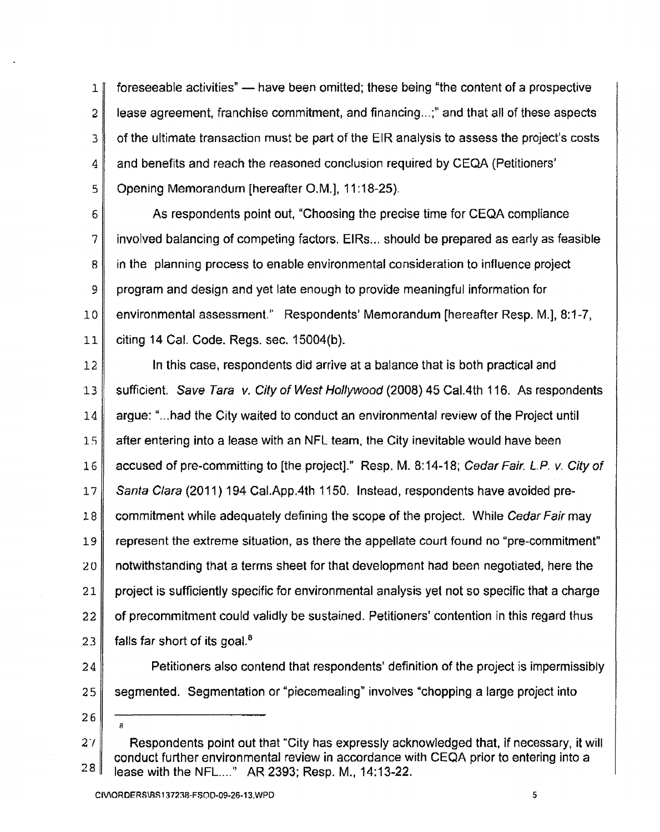$1 \parallel$  foreseeable activities" — have been omitted; these being "the content of a prospective 2 lease agreement, franchise commitment, and financing...;" and that all of these aspects 3 of the ultimate transaction must be part of the EIR analysis to assess the project's costs 4 and benefits and reach the reasoned conclusion required by CEQA (Petitioners' 5 Opening Memorandum [hereafter O.M.], 11:18-25).

6 As respondents point out, "Choosing the precise time for CEQA compliance 7 involved balancing of competing factors. EIRs ... should be prepared as early as feasible 8 in the planning process to enable environmental consideration to influence project 9 program and design and yet late enough to proviae meaningful information for 10 environmental assessment." Respondents' Memorandum [hereafter Resp. M.], 8:1-7, 11 citing 14 Cal. Code. Regs. sec. 15004(b).

12 In this case, respondents did arrive at a balance that is both practical and 13 sufficient. Save Tara v. City of West Hollywood (2008) 45 Cal.4th 116. As respondents 14 argue: "... had the City waited to conduct an environmental review of the Project until  $15$  after entering into a lease with an NFL team, the City inevitable would have been 16 accused of pre-committing to [the project]." Resp. M. 8:14-18; Cedar Fair. L.P. v. City of 17 Santa Clara (2011) 194 Cal.App. 4th 1150. Instead, respondents have avoided pre-18 commitment while adequately defining the scope of the project. While Cedar Fair may 19 represent the extreme situation, as there the appellate court found no "pre-commitment" :2 0 notwithstanding that a terms sheet for that development had been negotiated, here the 21 project is sufficiently specific for environmental analysis yet not so specific that a charge 22 of precommitment could validly be sustained. Petitioners' contention in this regard thus 23 falls far short of its goal.<sup>8</sup>

24 **Petitioners also contend that respondents' definition of the project is impermissibly** 25 segmented. Segmentation or "piecemealing" involves "chopping a large project into

26

*R* 

Respondents point out that "City has expressly acknowledged that, if necessary, it will  $27$ conduct further environmental review in accordance with CEQA prior to entering into a 28 lease with the NFL...." AR 2393; Resp. M., 14:13-22.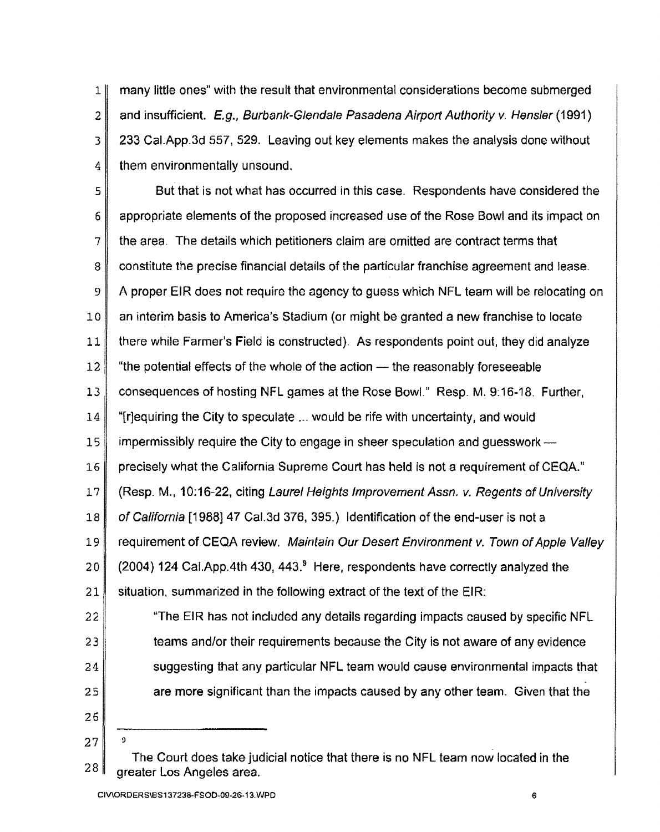1 many little ones" with the result that environmental considerations become submerged 2 and insufficient. E.g., Burbank-Glendale Pasadena Airport Authority v. Hensler (1991) 3 233 CaLApp.3d 557,529. Leaving out key elements makes the analysis done without 4 them environmentally unsound.

5 But that is not what has occurred in this case. Respondents have considered the 6 appropriate elements of the proposed increased use of the Rose Bowl and its impact on 7 the area. The details which petitioners claim are omitted are contract terms that 8 constitute the precise financial details of the particular franchise agreement and lease. 9 A proper EIR does not require the agency to guess which NFL team will be relocating on 10 an interim basis to America's Stadium (or might be granted a new franchise to locate 11 there while Farmer's Field is constructed). As respondents point out, they did analyze  $12$  "the potential effects of the whole of the action - the reasonably foreseeable 13 consequences of hosting NFL games at the Rose Bowl." Resp. M. 9:16-18. Further, 14 "[r]equiring the City to speculate ... would be rife with uncertainty, and would 15 impermissibly require the City to engage in sheer speculation and guesswork-16 precisely what the California Supreme Court has held is not a requirement of CEQA." 17 (Resp. M., 10:16-22, citing Laurel Heights Improvement Assn. v. Regents of University 18 of California [1988] 47 Cal.3d 376, 395.) Identification of the end-user is not a 19 requirement of CEQA review. Maintain Our Desert Environment v. Town of Apple Valley 20  $\parallel$  (2004) 124 Cal.App.4th 430, 443.<sup>9</sup> Here, respondents have correctly analyzed the 21 situation, summarized in the following extract of the text of the EIR: 22 **The EIR has not included any details regarding impacts caused by specific NFL**  $23$  teams and/or their requirements because the City is not aware of any evidence 24 suggesting that any particular NFL team would cause environmental impacts that 25 are more significant than the impacts caused by any other team. Given that the 26

27

 $\Omega$ 

<sup>28</sup>  The Court does take judicial notice that there is no NFL team now located in the greater Los Angeles area.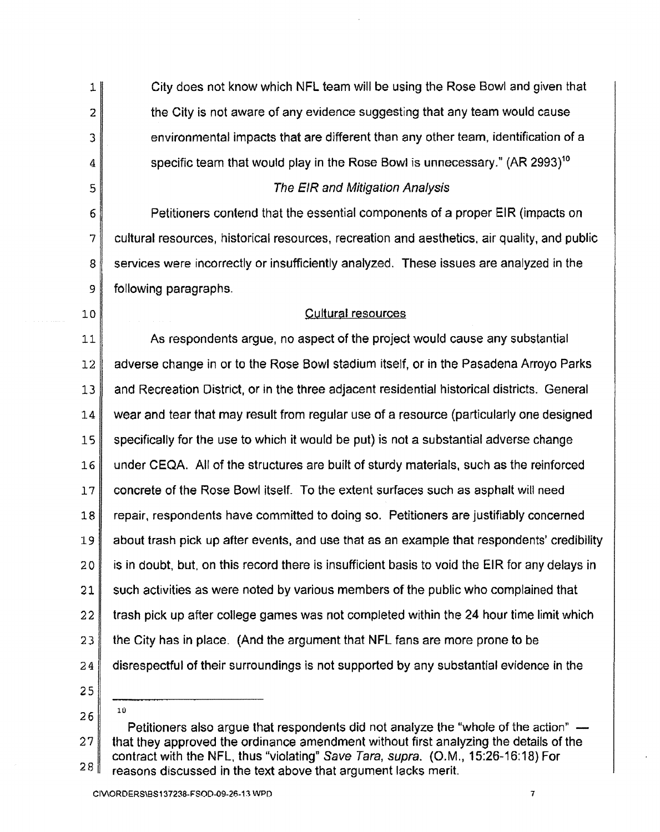1 City does not know which NFL team will be using the Rose Bowl and given that 2 the City is not aware of any evidence suggesting that any team would cause 3 environmental impacts that are different than any other team, identification of a 4 specific team that would play in the Rose Bowl is unnecessary."  $(AR 2993)^{10}$ 5 S 6 Petitioners contend that the essential components of a proper EIR (impacts on 7 cultural resources, historical resources, recreation and aesthetics. air quality, and public 8 services were incorrectly or insufficiently analyzed. These issues are analyzed in the 9 following paragraphs. 10 | Cultural resources 11 As respondents argue, no aspect of the project would cause any substantial 12 adverse change in or to the Rose Bowl stadium itself, or in the Pasadena Arroyo Parks 13 and Recreation District, or in the three adjacent residential historical districts. General 14 wear and tear that may result from regular use of a resource (particularly one designed 15 specifically for the use to which it would be put) is not a substantial adverse change 16 under CEQA. All of the structures are built of sturdy materials, such as the reinforced 17 concrete of the Rose Bowl itself. To the extent surfaces such as asphalt will need 18 repair, respondents have committed to doing so. Petitioners are justifiably concerned 19 about trash pick up after events, and use that as an example that respondents' credibility 20 is in doubt, but. on this record there is insufficient basis to void the EIR for any delays in 21 such activities as were noted by various members of the public who complained that  $22$  trash pick up after college games was not completed within the 24 hour time limit which 23 the City has in place. (And the argument that NFL fans are more prone to be 24 disrespectful of their surroundings is not supported by any substantial evidence in the 25  $26$ <sup>10</sup>

27 28 Petitioners also argue that respondents did not analyze the "whole of the action" that they approved the ordinance amendment without first analyzing the details of the contract with the NFL. thus "violating" Save Tara, supra. (O.M., 15:26-16:18) For reasons discussed in the text above that argument lacks merit.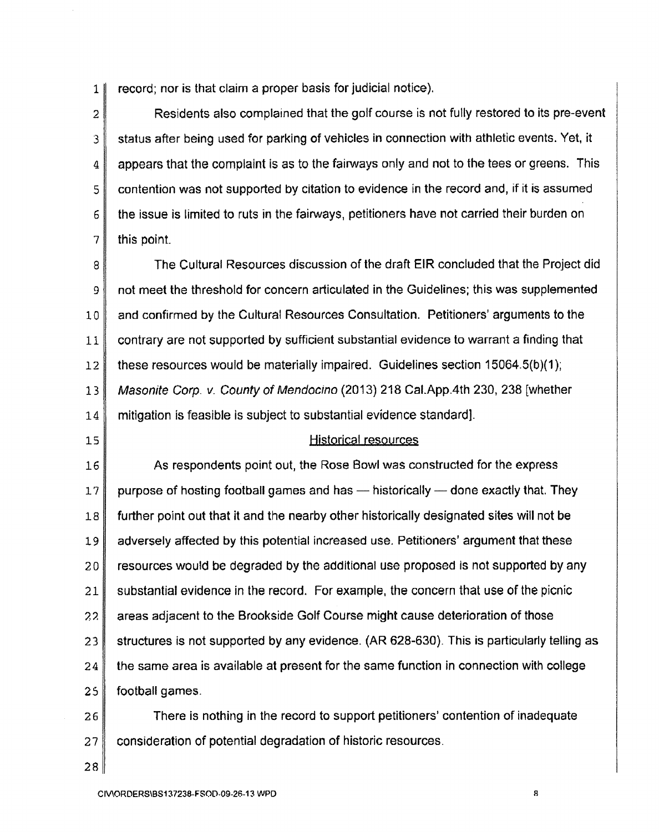1 record; nor is that claim a proper basis for judicial notice).

2 Residents also complained that the golf course is not fully restored to its pre-event  $3 \parallel$  status after being used for parking of vehicles in connection with athletic events. Yet, it 4 appears that the complaint is as to the fairways only and not to the tees or greens. This 5 contention was not supported by citation to evidence in the record and, if it is assumed 6 the issue is limited to ruts in the fairways, petitioners have not carried their burden on  $7$  this point.

8 The Cultural Resources discussion of the draft EIR concluded that the Project did 9 not meet the threshold for concern articulated in the Guidelines; this was supplemented 10 and confirmed by the Cultural Resources Consultation. Petitioners' arguments to the 11 contrary are not supported by sufficient substantial evidence to warrant a finding that 12 these resources would be materially impaired. Guidelines section 15064.5(b)(1); 13 Masonite Corp. v. County of Mendocino (2013) 218 Cal.App.4th 230, 238 [whether 14 mitigation is feasible is subject to substantial evidence standard].

#### 15 Historical resources

16 As respondents point out, the Rose Bowl was constructed for the express  $17$  purpose of hosting football games and has - historically - done exactly that. They 18 further point out that it and the nearby other historically designated sites will not be 19 adversely affected by this potential increased use. Petitioners' argument that these 20 resources would be degraded by the additional use proposed is not supported by any  $21$  substantial evidence in the record. For example, the concern that use of the picnic ?,? areas adjacent to the Brookside Golf Course might cause deterioration of those 23 structures is not supported by any evidence. (AR 628-630). This is particularly telling as  $24$  the same area is available at present for the same function in connection with college 25 | football games.

26 There is nothing in the record to support petitioners' contention of inadequate 27 consideration of potential degradation of historic resources.

28

8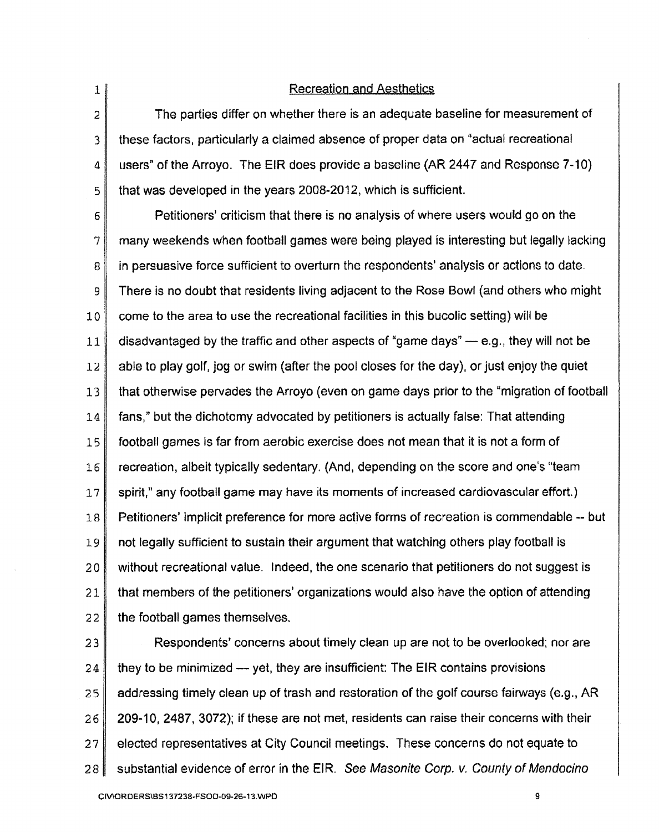| $\mathbf{1}$ | <b>Recreation and Aesthetics</b>                                                            |
|--------------|---------------------------------------------------------------------------------------------|
| 2            | The parties differ on whether there is an adequate baseline for measurement of              |
| 3            | these factors, particularly a claimed absence of proper data on "actual recreational        |
| 4            | users" of the Arroyo. The EIR does provide a baseline (AR 2447 and Response 7-10)           |
| 5            | that was developed in the years 2008-2012, which is sufficient.                             |
| 6            | Petitioners' criticism that there is no analysis of where users would go on the             |
| 7            | many weekends when football games were being played is interesting but legally lacking      |
| 8            | in persuasive force sufficient to overturn the respondents' analysis or actions to date.    |
| 9            | There is no doubt that residents living adjacent to the Rose Bowl (and others who might     |
| 10           | come to the area to use the recreational facilities in this bucolic setting) will be        |
| 11           | disadvantaged by the traffic and other aspects of "game days" $-$ e.g., they will not be    |
| 12           | able to play golf, jog or swim (after the pool closes for the day), or just enjoy the quiet |
| 13           | that otherwise pervades the Arroyo (even on game days prior to the "migration of football   |
| 14           | fans," but the dichotomy advocated by petitioners is actually false: That attending         |
| 15           | football games is far from aerobic exercise does not mean that it is not a form of          |
| 16           | recreation, albeit typically sedentary. (And, depending on the score and one's "team        |
| 17           | spirit," any football game may have its moments of increased cardiovascular effort.)        |
| 18           | Petitioners' implicit preference for more active forms of recreation is commendable -- but  |
| 19           | not legally sufficient to sustain their argument that watching others play football is      |
| $20\,$       | without recreational value. Indeed, the one scenario that petitioners do not suggest is     |
| 21           | that members of the petitioners' organizations would also have the option of attending      |
| 22           | the football games themselves.                                                              |
| 23           | Respondents' concerns about timely clean up are not to be overlooked; nor are               |
| 24           | they to be minimized - yet, they are insufficient: The EIR contains provisions              |

25 addressing timely clean up of trash and restoration of the golf course fairways (e.g., AR 26 209-10, 2487, 3072); if these are not met, residents can raise their concerns with their 27 elected representatives at City Council meetings. These concerns do not equate to

28 substantial evidence of error in the EIR. See Masonite Corp. v. County of Mendocino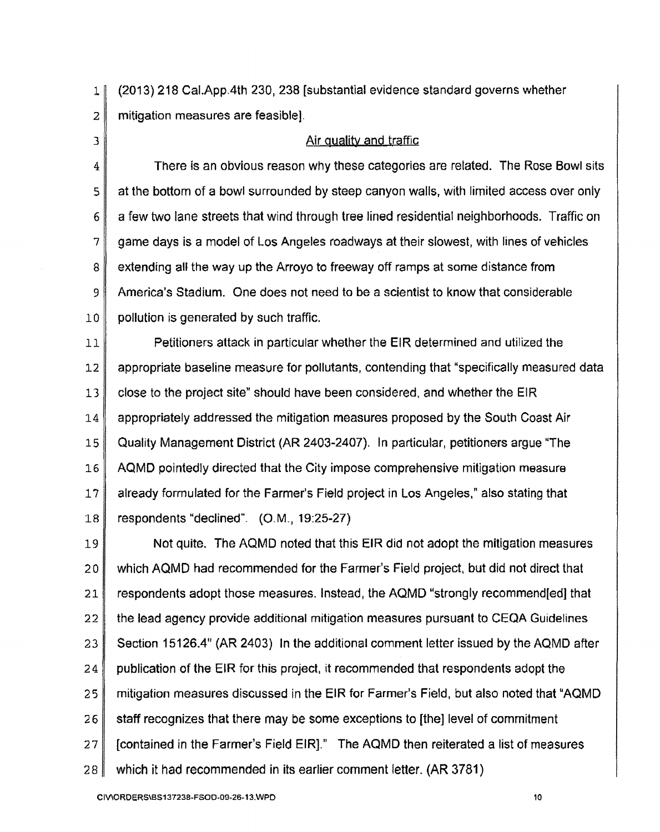1 (2013) 218 Cal.App.4th 230, 238 [substantial evidence standard governs whether 2 mitigation measures are feasible].

### 3 **Air guality and traffic**

4 There is an obvious reason why these categories are related. The Rose Bowl sits 5 at the bottom of a bowl surrounded by steep canyon walls, with limited access over only 6 a few two lane streets that wind through tree lined residential neighborhoods. Traffic on 7 game days is a model of Los Angeles roadways at their slowest, with lines of vehicles 8 extending all the way up the Arroyo to freeway off ramps at some distance from 9 America's Stadium. One does not need to be a scientist to know that considerable 10 **pollution** is generated by such traffic.

11 || Petitioners attack in particular whether the EIR determined and utilized the appropriate baseline measure for pollutants, contending that "specifically measured data close to the project site" should have been considered, and whether the EIR 14 appropriately addressed the mitigation measures proposed by the South Coast Air Quality Management District (AR 2403-2407). In particular, petitioners argue "The AQMD pointedly directed that the City impose comprehensive mitigation measure 17 already formulated for the Farmer's Field project in Los Angeles," also stating that respondents "declined". (O.M., 19:25-27)

19 Not quite. The AQMD noted that this EIR did not adopt the mitigation measures 20 which AQMD had recommended for the Farmer's Field project. but did not direct that 21 respondents adopt those measures. Instead, the AQMD "strongly recommend[ed] that  $22$  the lead agency provide additional mitigation measures pursuant to CEQA Guidelines 23 Section 15126.4" (AR 2403) In the additional comment letter issued by the AQMD after 24 publication of the EIR for this project, it recommended that respondents adopt the 25 mitigation measures discussed in the EIR for Farmer's Field, but also noted that "AQMD 26 staff recognizes that there may be some exceptions to [the] level of commitment 27 [Contained in the Farmer's Field EIR]." The AQMD then reiterated a list of measures 28 which it had recommended in its earlier comment letter. (AR 3781)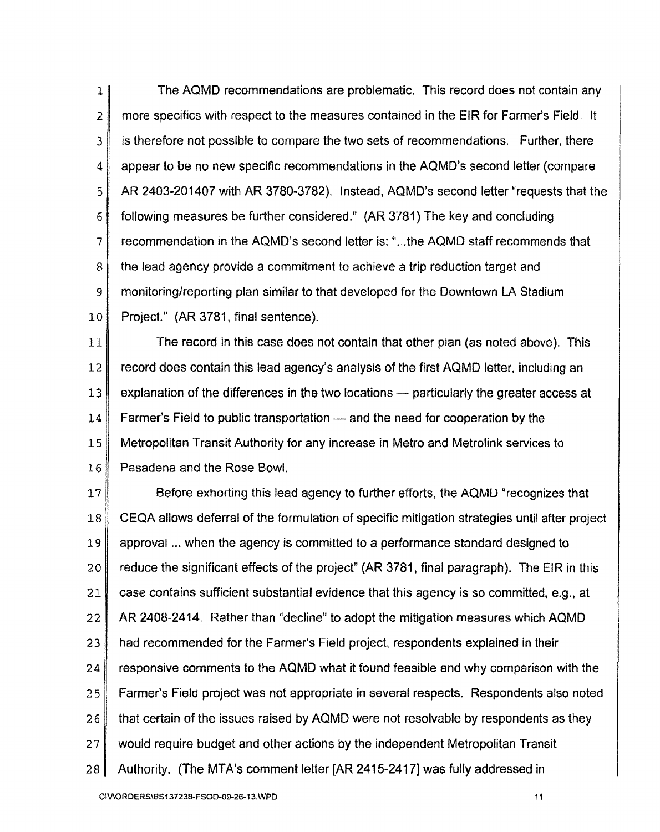1 The AQMD recommendations are problematic. This record does not contain any 2 more specifics with respect to the measures contained in the EIR for Farmer's Field. It 3 is therefore not possible to compare the two sets of recommendations. Further, there 4 appear to be no new specific recommendations in the AQMD's second letter (compare 5 AR 2403-201407 with AR 3780-3782). Instead, AQMD's second letter "requests that the 6 following measures be further considered." (AR 3781) The key and concluding  $7 \parallel$  recommendation in the AQMD's second letter is: "...the AQMD staff recommends that 8 the lead agency provide a commitment to achieve a trip reduction target and 9 monitoring/reporting plan similar to that developed for the Downtown LA Stadium 10 Project." (AR 3781, final sentence).

11 The record in this case does not contain that other plan (as noted above). This 12 record does contain this lead agency's analysis of the first AQMD letter, including an 13 explanation of the differences in the two locations — particularly the greater access at  $14$  Farmer's Field to public transportation  $-$  and the need for cooperation by the 15 Metropolitan Transit Authority for any increase in Metro and Metrolink services to 16 Pasadena and the Rose Bowl.

17 Before exhorting this lead agency to further efforts, the AQMD "recognizes that 18 CEQA allows deferral of the formulation of specific mitigation strategies until after project 19 approval ... when the agency is committed to a performance standard designed to 20 reduce the significant effects of the project" (AR 3781, final paragraph). The EIR in this  $21$  case contains sufficient substantial evidence that this agency is so committed, e.g., at 22 AR 2408-2414. Rather than "decline" to adopt the mitigation measures which AQMD 23 had recommended for the Farmer's Field project, respondents explained in their  $24$  responsive comments to the AQMD what it found feasible and why comparison with the 25 Farmer's Field project was not appropriate in several respects. Respondents also noted  $26$  that certain of the issues raised by AQMD were not resolvable by respondents as they 27 would require budget and other actions by the independent Metropolitan Transit 28 Authority. (The MTA's comment letter [AR 2415-2417] was fully addressed in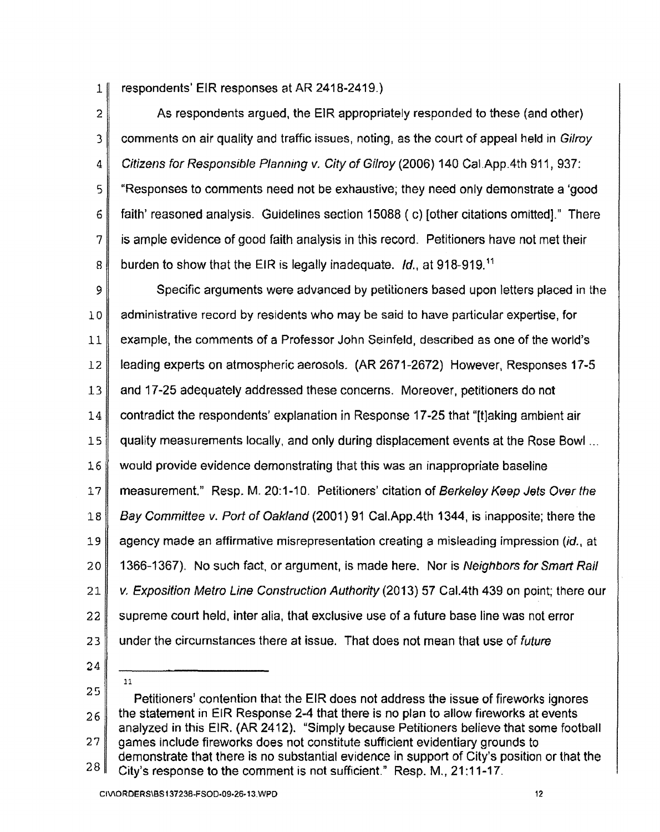1 respondents' EIR responses at AR 2418-2419.)

2 As respondents argued, the EIR appropriately responded to these (and other) 3 comments on air quality and traffic issues, noting, as the court of appeal held in Gilroy 4 Citizens for Responsible Planning v. *City* of G;Jroy (2006) 140 Cal.App.4th 911,937: 5 "Responses to comments need not be exhaustive; they need only demonstrate a 'good 6 faith' reasoned analysis. Guidelines section 15088 ( c) [other citations omitted]." There 7 is ample evidence of good faith analysis in this record. Petitioners have not met their 8 burden to show that the EIR is legally inadequate. Id., at 918-919.<sup>11</sup>

9 Specific arguments were advanced by petitioners based upon letters placed in the 10 administrative record by residents who may be said to have particular expertise, for 11 example, the comments of a Professor John Seinfeld, described as one of the world's 12 leading experts on atmospheric aerosols. (AR 2671-2672) However, Responses 17-5 13 and 17-25 adequately addressed these concerns. Moreover, petitioners do not 14 contradict the respondents' explanation in Response 17-25 that "[t]aking ambient air 15 quality measurements locally, and only during displacement events at the Rose Bowl ... 16 would provide evidence demonstrating that this was an inappropriate baseline 17 measurement." Resp. M. 20:1-10. Petitioners' citation of Berkeley Keep Jets Over the 18 Bay Committee v. Port of Oakland (2001) 91 Cal.App.4th 1344, is inapposite; there the 19  $\parallel$  agency made an affirmative misrepresentation creating a misleading impression (id., at 20 1366-1367). No such fact, or argument, is made here. Nor is Neighbors for Smart Rail 21 *v. Exposition Metro Line Construction Authority (2013) 57 Cal.4th 439 on point; there our* 22 supreme court held, inter alia, that exclusive use of a future base line was not error 23 under the circumstances there at issue. That does not mean that use of future

24

11

25 Petitioners' contention that the EIR does not address the issue of fireworks ignores the statement in EIR Response 2-4 that there is no plan to allow fireworks at events 26 analyzed in this EIR. (AR 2412). "Simply because Petitioners believe that some football games include fireworks does not constitute sufficient evidentiary grounds to 27 demonstrate that there is no substantial evidence in support of City's position or that the 28 City's response to the comment is not sufficient." Resp. M., 21 :11-17.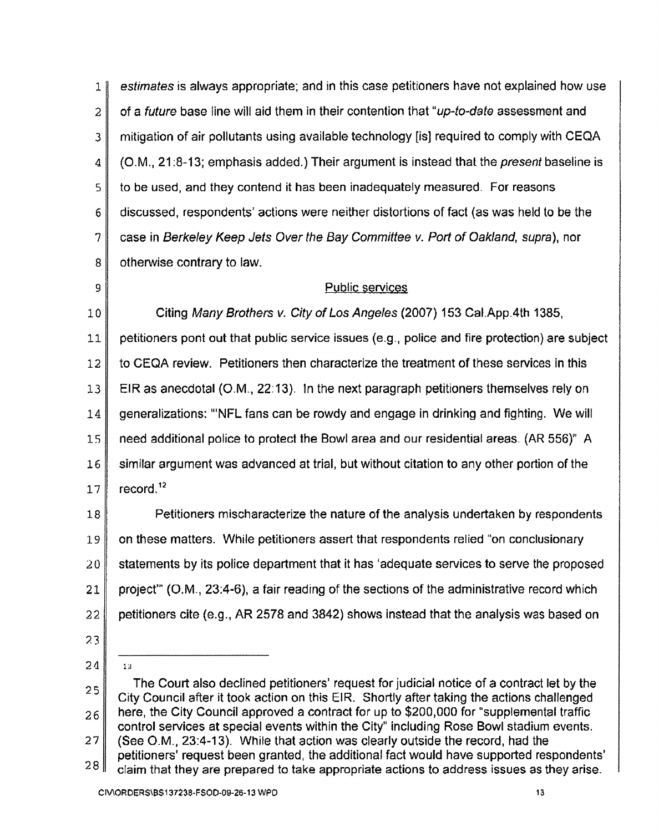1 estimates is always appropriate; and in this case petitioners have not explained how use 2 of a future base line will aid them in their contention that "up-to-date assessment and 3 mitigation of air pollutants using available technology [is] required to comply with CEQA 4 (O.M., 21:8-13; emphasis added.) Their argument is instead that the *present* baseline is 5 to be used, and they contend it has been inadequately measured. For reasons 6 discussed, respondents' actions were neither distortions of fact (as was held to be the 7 case in Berkeley Keep Jets Over the Bay Committee v. Port of Oakland, supra), nor 8 otherwise contrary to law.

## $9 \parallel$

10 Citing Many Brothers v. City of Los Angeles (2007) 153 Cal.App.4th 1385, petitioners pont out that public service issues (e.g., police and fire protection) are subject to CEQA review. Petitioners then characterize the treatment of these services in this 13 | EIR as anecdotal (O.M., 22:13). In the next paragraph petitioners themselves rely on generalizations: '''NFL fans can be rowdy and engage in drinking and fighting. We will 15 | need additional police to protect the Bowl area and our residential areas. (AR 556)" A similar argument was advanced at trial, but without citation to any other portion of the record.<sup>12</sup>

18 **Petitioners mischaracterize the nature of the analysis undertaken by respondents** 19 on these matters. While petitioners assert that respondents relied "on conclusionary"  $20$  statements by its police department that it has 'adequate services to serve the proposed 21 project" (O.M., 23:4-6), a fair reading of the sections of the administrative record which  $22$  petitioners cite (e.g., AR 2578 and 3842) shows instead that the analysis was based on

- ?3
- 24

1" "

<sup>25</sup>  26 27 28 The Court also declined petitioners' request for judicial notice of a contract let by the City Council after it took action on this EIR. Shortly after taking the actions challenged here, the City Council approved a contract for up to \$200,000 for "supplemental traffic control services at special events within the City" including Rose Bowl stadium events. (See O.M., 23:4-13). While that action was clearly outside the record, had the petitioners' request been granted. the additional fact would have supported respondents'

claim that they are prepared to take appropriate actions to address issues as they arise.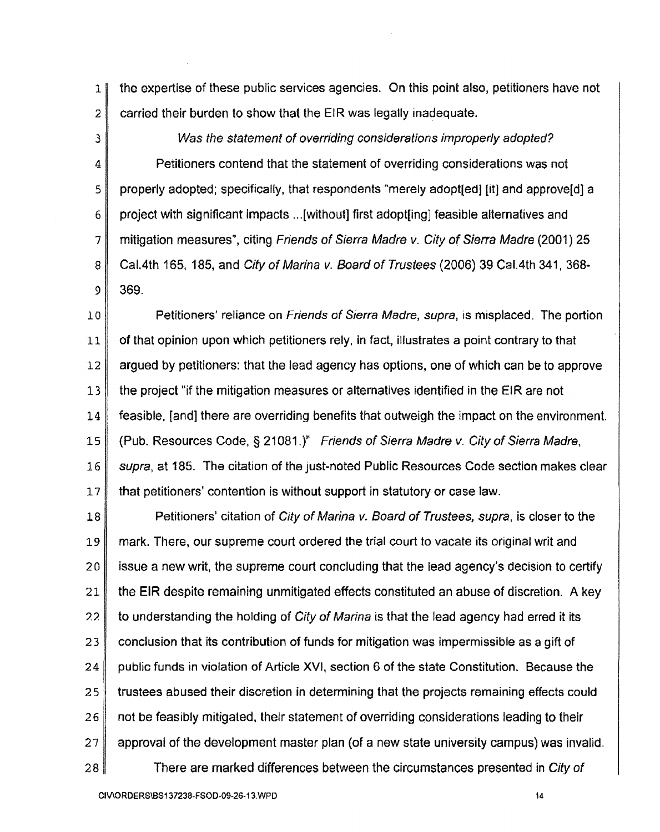1 | the expertise of these public services agencies. On this point also, petitioners have not 2 carried their burden to show that the EIR was legally inadequate.

3 Was the statement of overriding considerations improperly adopted? 4 Petitioners contend that the statement of overriding considerations was not 5 properly adopted; specifically, that respondents "merely adopt[ed] [it] and approve[d] a 6 project with significant impacts ... [without) first adopt[ing] feasible alternatives and 7 mitigation measures", citing Friends of Sierra Madre v. City of Sierra Madre (2001) 25 8 **Cal. 4th 165, 185, and City of Marina v. Board of Trustees (2006) 39 Cal. 4th 341, 368-** $9$  369.

10 Petitioners' reliance on Friends of Sierra Madre, supra, is misplaced. The portion 11 of that opinion upon which petitioners rely, in fact, illustrates a point contrary to that 12 argued by petitioners: that the lead agency has options, one of which can be to approve 13 the project "if the mitigation measures or alternatives identified in the EIR are not 14 feasible, [and] there are overriding benefits that outweigh the impact on the environment. 15 (Pub. Resources Code, § 21081.)" Friends of Sierra Madre v. City of Sierra Madre, 16 *supra*, at 185. The citation of the just-noted Public Resources Code section makes clear 17 that petitioners' contention is without support in statutory or case law.

18 **Petitioners' citation of City of Marina v. Board of Trustees, supra, is closer to the** 19 mark. There, our supreme court ordered the trial court to vacate its original writ and 20 **issue a new writ, the supreme court concluding that the lead agency's decision to certify** 21 the EIR despite remaining unmitigated effects constituted an abuse of discretion. A key 22 to understanding the holding of City of Marina is that the lead agency had erred it its 23 conclusion that its contribution of funds for mitigation was impermissible as a gift of 24 public funds in violation of Article XVI, section 6 of the state Constitution. Because the 25 trustees abused their discretion in determining that the projects remaining effects could 26 not be feasibly mitigated, their statement of overriding considerations leading to their 27 approval of the development master plan (of a new state university campus) was invalid. 28 There are marked differences between the circumstances presented in City of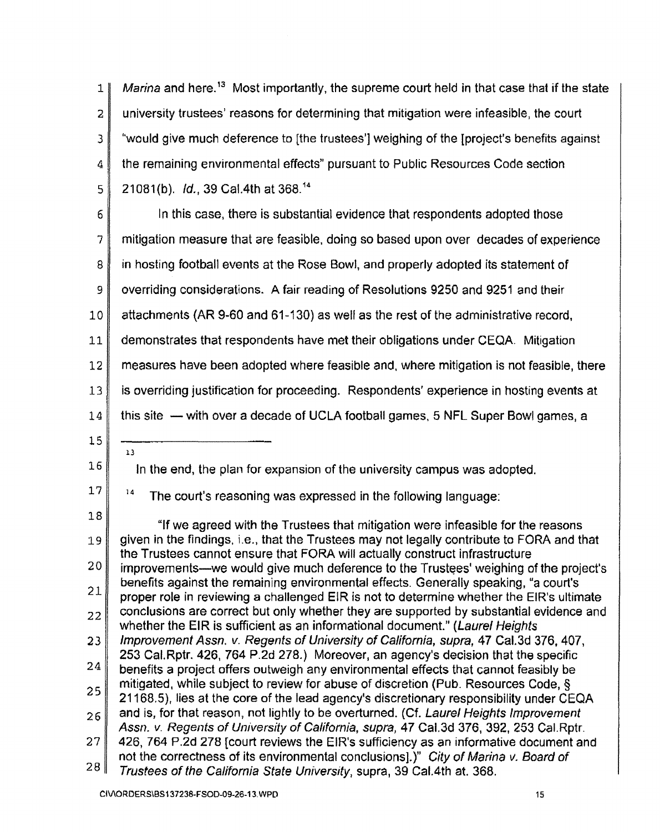1 Marina and here.<sup>13</sup> Most importantly, the supreme court held in that case that if the state 2 university trustees' reasons for determining that mitigation were infeasible, the court 3 "would give much deference to [the trustees'] weighing of the [project's benefits against 4 the remaining environmental effects" pursuant to Public Resources Code section 5 21081(b). Id., 39 Cal.4th at 368.<sup>14</sup>

6 In this case, there is substantial evidence that respondents adopted those 7 mitigation measure that are feasible, doing so based upon over decades of experience 8 in hosting football events at the Rose Bowl, and properly adopted its statement of 9 overriding considerations. A fair reading of Resolutions 9250 and 9251 and their 10 ditachments (AR 9-60 and 61-130) as well as the rest of the administrative record, 11 demonstrates that respondents have met their obligations under CEQA. Mitigation 12 measures have been adopted where feasible and, where mitigation is not feasible, there 13 is overriding justification for proceeding. Respondents' experience in hosting events at  $14$  this site  $-$  with over a decade of UCLA football games, 5 NFL Super Bowl games, a 15  $13$ 16 In the end, the plan for expansion of the university campus was adopted. 17  $14$  The court's reasoning was expressed in the following language: 18 "If we agreed with the Trustees that mitigation were infeasible for the reasons given in the findings, i.e., that the Trustees may not legally contribute to FORA and that 19 the Trustees cannot ensure that FORA will actually construct infrastructure 20 improvements-we would give much deference to the Trustees' weighing of the project's benefits against the remaining environmental effects. Generally speaking, "a court's 21 proper role in reviewing a challenged EIR is not to determine whether the EIR's ultimate conclusions are correct but only whether they are supported by substantial evidence and 22 whether the EIR is sufficient as an informational document." (Laurel Heights Improvement Assn. v. Regents of University of California, supra, 47 Cal. 3d 376, 407, 23 253 Cal.Rptr. 426, 764 P.2d 278.) Moreover, an agency's decision that the specific 24 benefits a project offers outweigh any environmental effects that cannot feasibly be mitigated, while subject to review for abuse of discretion (Pub. Resources Code, § 25 21168.5), lies at the core of the lead agency's discretionary responsibility under CEQA and is, for that reason, not lightly to be overturned. (Cf. Laurel Heights Improvement 26 Assn. v. Regents of University of California, supra, 47 Cal.3d 376, 392, 253 Cal.Rptr. 426.764 P.2d 278 [court reviews the EIR's sufficiency as an informative document and 27 not the correctness of its environmental conclusions}.)" City of Marina v. Board of

28 Trustees of the California State University, supra, 39 Cal.4th at. 368.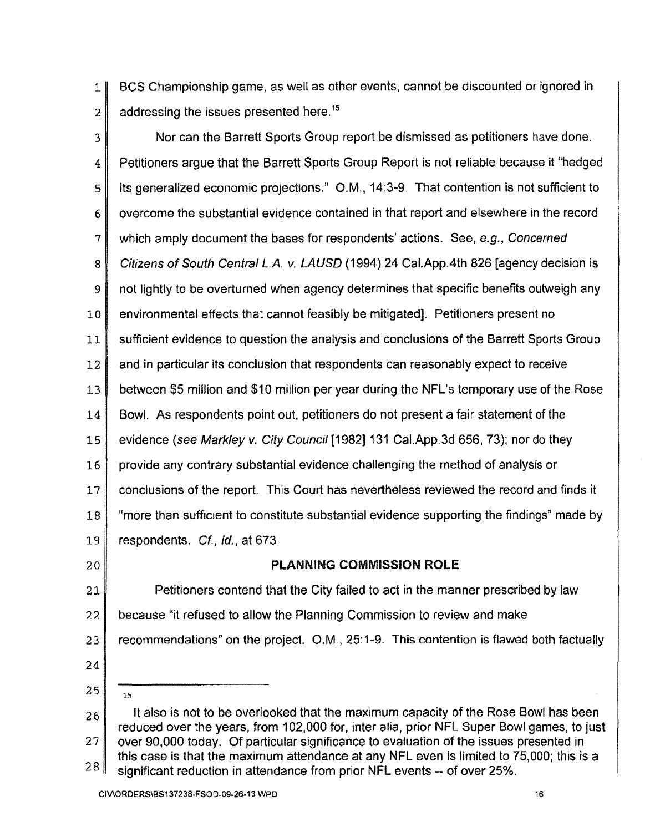1 BCS Championship game, as well as other events, cannot be discounted or ignored in  $2 \parallel$  addressing the issues presented here.<sup>15</sup>

3 Nor can the Barrett Sports Group report be dismissed as petitioners have done. 4 Petitioners argue that the Barrett Sports Group Report is not reliable because it "hedged  $5$  its generalized economic projections." O.M., 14:3-9. That contention is not sufficient to 6 overcome the substantial evidence contained in that report and elsewhere in the record  $7 \parallel$  which amply document the bases for respondents' actions. See, e.g., Concerned 8 Citizens of South Central L.A. v. LAUSD (1994) 24 Cal.App.4th 826 [agency decision is 9 not lightly to be overturned when agency determines that specific benefits outweigh any 10 environmental effects that cannot feasibly be mitigated). Petitioners present no 11 sufficient evidence to question the analysis and conclusions of the Barrett Sports Group  $12$  and in particular its conclusion that respondents can reasonably expect to receive 13 between \$5 million and \$10 million per year during the NFL's temporary use of the Rose 14 Bowl. As respondents point out, petitioners do not present a fair statement of the 15 evidence (see Markley v. City Council [1982] 131 Cal.App.3d 656, 73); nor do they 16 provide any contrary substantial evidence challenging the method of analysis or 17 conclusions of the report. This Court has nevertheless reviewed the record and finds it 18 "more than sufficient to constitute substantial evidence supporting the findings" made by 19 respondents. Cf., id., at 673.

## 20 PLANNING COMMISSION ROLE

21 Petitioners contend that the City failed to act in the manner prescribed by law ?? because "it refused to allow the Planning Commission to review and make  $23$  recommendations" on the project. O.M., 25:1-9. This contention is flawed both factually

- 24
- 25

 $1<sub>5</sub>$ 

26 27 28 It also is not to be overlooked that the maximum capacity of the Rose Bowl has been reduced over the years, from 102,000 for, inter alia, prior NFL Super Bowl games, to just over 90,000 today. Of particular significance to evaluation of the issues presented in this case is that the maximum attendance at any NFL even is limited to 75,000; this is a significant reduction in attendance from prior NFL events -- of over 25%.